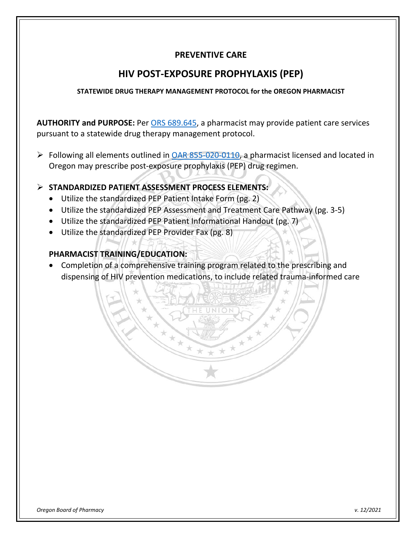### **PREVENTIVE CARE**

### **HIV POST-EXPOSURE PROPHYLAXIS (PEP)**

#### **STATEWIDE DRUG THERAPY MANAGEMENT PROTOCOL for the OREGON PHARMACIST**

**AUTHORITY and PURPOSE:** Per [ORS 689.645,](https://www.oregonlegislature.gov/bills_laws/ors/ors689.html) a pharmacist may provide patient care services pursuant to a statewide drug therapy management protocol.

 $\triangleright$  Following all elements outlined in [OAR 855-020-0110,](https://secure.sos.state.or.us/oard/viewSingleRule.action?ruleVrsnRsn=262657) a pharmacist licensed and located in Oregon may prescribe post-exposure prophylaxis (PEP) drug regimen.

#### **STANDARDIZED PATIENT ASSESSMENT PROCESS ELEMENTS:**

- Utilize the standardized PEP Patient Intake Form (pg. 2)
- Utilize the standardized PEP Assessment and Treatment Care Pathway (pg. 3-5)
- Utilize the standardized PEP Patient Informational Handout (pg. 7)
- Utilize the standardized PEP Provider Fax (pg. 8)

### **PHARMACIST TRAINING/EDUCATION:**

• Completion of a comprehensive training program related to the prescribing and dispensing of HIV prevention medications, to include related trauma-informed care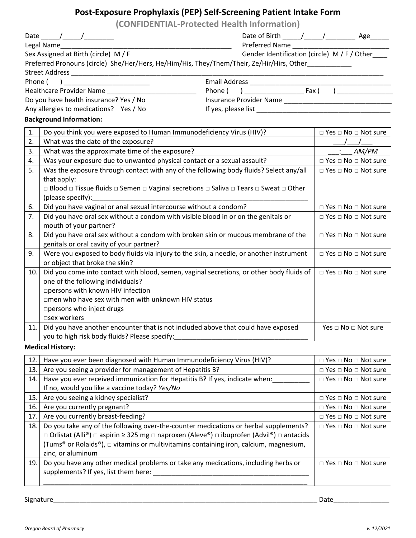## **Post-Exposure Prophylaxis (PEP) Self-Screening Patient Intake Form**

|                                        |                                                                                                                                                                                                                                                                                                                                                                                                                             | (CONFIDENTIAL-Protected Health Information)  |                                      |  |
|----------------------------------------|-----------------------------------------------------------------------------------------------------------------------------------------------------------------------------------------------------------------------------------------------------------------------------------------------------------------------------------------------------------------------------------------------------------------------------|----------------------------------------------|--------------------------------------|--|
|                                        | Date $\frac{1}{\sqrt{1-\frac{1}{2}}}\frac{1}{\sqrt{1-\frac{1}{2}}}\frac{1}{\sqrt{1-\frac{1}{2}}}\frac{1}{\sqrt{1-\frac{1}{2}}}\frac{1}{\sqrt{1-\frac{1}{2}}}\frac{1}{\sqrt{1-\frac{1}{2}}}\frac{1}{\sqrt{1-\frac{1}{2}}}\frac{1}{\sqrt{1-\frac{1}{2}}}\frac{1}{\sqrt{1-\frac{1}{2}}}\frac{1}{\sqrt{1-\frac{1}{2}}}\frac{1}{\sqrt{1-\frac{1}{2}}}\frac{1}{\sqrt{1-\frac{1}{2}}}\frac{1}{\sqrt{1-\frac{1}{2}}}\frac{1}{\sqrt$ |                                              |                                      |  |
|                                        | Legal Name                                                                                                                                                                                                                                                                                                                                                                                                                  |                                              |                                      |  |
|                                        | Sex Assigned at Birth (circle) M / F                                                                                                                                                                                                                                                                                                                                                                                        | Gender Identification (circle) M / F / Other |                                      |  |
|                                        | Preferred Pronouns (circle) She/Her/Hers, He/Him/His, They/Them/Their, Ze/Hir/Hirs, Other__________                                                                                                                                                                                                                                                                                                                         |                                              |                                      |  |
|                                        |                                                                                                                                                                                                                                                                                                                                                                                                                             |                                              |                                      |  |
| Phone (                                |                                                                                                                                                                                                                                                                                                                                                                                                                             |                                              |                                      |  |
|                                        | Healthcare Provider Name _____________________________                                                                                                                                                                                                                                                                                                                                                                      |                                              |                                      |  |
| Do you have health insurance? Yes / No |                                                                                                                                                                                                                                                                                                                                                                                                                             |                                              |                                      |  |
|                                        | Any allergies to medications? Yes / No                                                                                                                                                                                                                                                                                                                                                                                      |                                              |                                      |  |
|                                        | <b>Background Information:</b>                                                                                                                                                                                                                                                                                                                                                                                              |                                              |                                      |  |
| 1.                                     | Do you think you were exposed to Human Immunodeficiency Virus (HIV)?                                                                                                                                                                                                                                                                                                                                                        |                                              | $\Box$ Yes $\Box$ No $\Box$ Not sure |  |
| 2.                                     | What was the date of the exposure?                                                                                                                                                                                                                                                                                                                                                                                          |                                              |                                      |  |
| 3.                                     | What was the approximate time of the exposure?                                                                                                                                                                                                                                                                                                                                                                              |                                              | AM/PM                                |  |
| 4.                                     | Was your exposure due to unwanted physical contact or a sexual assault?                                                                                                                                                                                                                                                                                                                                                     |                                              | $\Box$ Yes $\Box$ No $\Box$ Not sure |  |
| 5.                                     | Was the exposure through contact with any of the following body fluids? Select any/all                                                                                                                                                                                                                                                                                                                                      |                                              | □ Yes □ No □ Not sure                |  |
|                                        | that apply:                                                                                                                                                                                                                                                                                                                                                                                                                 |                                              |                                      |  |
|                                        | □ Blood □ Tissue fluids □ Semen □ Vaginal secretions □ Saliva □ Tears □ Sweat □ Other                                                                                                                                                                                                                                                                                                                                       |                                              |                                      |  |
|                                        | (please specify):                                                                                                                                                                                                                                                                                                                                                                                                           |                                              |                                      |  |
| 6.                                     | Did you have vaginal or anal sexual intercourse without a condom?                                                                                                                                                                                                                                                                                                                                                           | $\Box$ Yes $\Box$ No $\Box$ Not sure         |                                      |  |
| 7.                                     | Did you have oral sex without a condom with visible blood in or on the genitals or                                                                                                                                                                                                                                                                                                                                          |                                              | □ Yes □ No □ Not sure                |  |
|                                        | mouth of your partner?                                                                                                                                                                                                                                                                                                                                                                                                      |                                              |                                      |  |
| 8.                                     | Did you have oral sex without a condom with broken skin or mucous membrane of the                                                                                                                                                                                                                                                                                                                                           |                                              | $\Box$ Yes $\Box$ No $\Box$ Not sure |  |
|                                        | genitals or oral cavity of your partner?                                                                                                                                                                                                                                                                                                                                                                                    |                                              |                                      |  |
| 9.                                     | Were you exposed to body fluids via injury to the skin, a needle, or another instrument                                                                                                                                                                                                                                                                                                                                     | □ Yes □ No □ Not sure                        |                                      |  |
|                                        | or object that broke the skin?                                                                                                                                                                                                                                                                                                                                                                                              |                                              |                                      |  |
| 10.                                    | Did you come into contact with blood, semen, vaginal secretions, or other body fluids of                                                                                                                                                                                                                                                                                                                                    |                                              | $\Box$ Yes $\Box$ No $\Box$ Not sure |  |
|                                        | one of the following individuals?                                                                                                                                                                                                                                                                                                                                                                                           |                                              |                                      |  |
|                                        | □ persons with known HIV infection                                                                                                                                                                                                                                                                                                                                                                                          |                                              |                                      |  |
|                                        | □men who have sex with men with unknown HIV status                                                                                                                                                                                                                                                                                                                                                                          |                                              |                                      |  |
|                                        | □ persons who inject drugs                                                                                                                                                                                                                                                                                                                                                                                                  |                                              |                                      |  |
|                                        | □sex workers                                                                                                                                                                                                                                                                                                                                                                                                                |                                              |                                      |  |
| 11.1                                   | Did you have another encounter that is not included above that could have exposed                                                                                                                                                                                                                                                                                                                                           |                                              | Yes □ No □ Not sure                  |  |
|                                        | you to high risk body fluids? Please specify:                                                                                                                                                                                                                                                                                                                                                                               |                                              |                                      |  |
|                                        | Madical Uistoru                                                                                                                                                                                                                                                                                                                                                                                                             |                                              |                                      |  |

**Medical History:**

| 12. | Have you ever been diagnosed with Human Immunodeficiency Virus (HIV)?                                               | $\Box$ Yes $\Box$ No $\Box$ Not sure |
|-----|---------------------------------------------------------------------------------------------------------------------|--------------------------------------|
| 13. | Are you seeing a provider for management of Hepatitis B?                                                            | $\Box$ Yes $\Box$ No $\Box$ Not sure |
| 14. | Have you ever received immunization for Hepatitis B? If yes, indicate when:                                         | $\Box$ Yes $\Box$ No $\Box$ Not sure |
|     | If no, would you like a vaccine today? Yes/No                                                                       |                                      |
| 15. | Are you seeing a kidney specialist?                                                                                 | $\Box$ Yes $\Box$ No $\Box$ Not sure |
| 16. | Are you currently pregnant?                                                                                         | $\Box$ Yes $\Box$ No $\Box$ Not sure |
| 17. | Are you currently breast-feeding?                                                                                   | $\Box$ Yes $\Box$ No $\Box$ Not sure |
| 18. | Do you take any of the following over-the-counter medications or herbal supplements?                                | $\Box$ Yes $\Box$ No $\Box$ Not sure |
|     | $\Box$ Orlistat (Alli®) $\Box$ aspirin ≥ 325 mg $\Box$ naproxen (Aleve®) $\Box$ ibuprofen (Advil®) $\Box$ antacids  |                                      |
|     | (Tums <sup>®</sup> or Rolaids <sup>®</sup> ), $\Box$ vitamins or multivitamins containing iron, calcium, magnesium, |                                      |
|     | zinc, or aluminum                                                                                                   |                                      |
| 19. | Do you have any other medical problems or take any medications, including herbs or                                  | $\Box$ Yes $\Box$ No $\Box$ Not sure |
|     | supplements? If yes, list them here:                                                                                |                                      |
|     |                                                                                                                     |                                      |

Signature\_\_\_\_\_\_\_\_\_\_\_\_\_\_\_\_\_\_\_\_\_\_\_\_\_\_\_\_\_\_\_\_\_\_\_\_\_\_\_\_\_\_\_\_\_\_\_\_\_\_\_\_\_\_\_\_\_\_\_\_\_\_\_\_\_\_\_\_\_\_\_ Date\_\_\_\_\_\_\_\_\_\_\_\_\_\_\_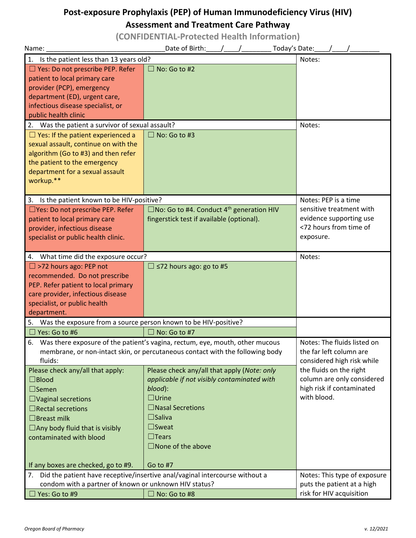# **Post-exposure Prophylaxis (PEP) of Human Immunodeficiency Virus (HIV)**

## **Assessment and Treatment Care Pathway**

**(CONFIDENTIAL-Protected Health Information)**

| Name:                                                                 | Date of Birth:<br>Today's Date:                                                 |                              |
|-----------------------------------------------------------------------|---------------------------------------------------------------------------------|------------------------------|
| Is the patient less than 13 years old?<br>1.                          |                                                                                 | Notes:                       |
| □ Yes: Do not prescribe PEP. Refer                                    | No: Go to #2                                                                    |                              |
| patient to local primary care                                         |                                                                                 |                              |
| provider (PCP), emergency                                             |                                                                                 |                              |
| department (ED), urgent care,                                         |                                                                                 |                              |
| infectious disease specialist, or                                     |                                                                                 |                              |
| public health clinic                                                  |                                                                                 |                              |
| 2. Was the patient a survivor of sexual assault?                      | Notes:                                                                          |                              |
| $\Box$ Yes: If the patient experienced a                              | $\Box$ No: Go to #3                                                             |                              |
| sexual assault, continue on with the                                  |                                                                                 |                              |
| algorithm (Go to #3) and then refer                                   |                                                                                 |                              |
| the patient to the emergency                                          |                                                                                 |                              |
| department for a sexual assault                                       |                                                                                 |                              |
| workup.**                                                             |                                                                                 |                              |
|                                                                       |                                                                                 |                              |
| Is the patient known to be HIV-positive?<br>3.                        |                                                                                 | Notes: PEP is a time         |
| □Yes: Do not prescribe PEP. Refer                                     | $\square$ No: Go to #4. Conduct 4 <sup>th</sup> generation HIV                  | sensitive treatment with     |
| patient to local primary care                                         | fingerstick test if available (optional).                                       | evidence supporting use      |
| provider, infectious disease                                          |                                                                                 | <72 hours from time of       |
| specialist or public health clinic.                                   |                                                                                 | exposure.                    |
|                                                                       |                                                                                 |                              |
| 4. What time did the exposure occur?                                  |                                                                                 | Notes:                       |
| $\Box$ >72 hours ago: PEP not                                         | $\Box$ <72 hours ago: go to #5                                                  |                              |
| recommended. Do not prescribe                                         |                                                                                 |                              |
| PEP. Refer patient to local primary                                   |                                                                                 |                              |
| care provider, infectious disease                                     |                                                                                 |                              |
| specialist, or public health                                          |                                                                                 |                              |
| department.                                                           |                                                                                 |                              |
| Was the exposure from a source person known to be HIV-positive?<br>5. |                                                                                 |                              |
| Yes: Go to #6                                                         | $\Box$ No: Go to #7                                                             |                              |
|                                                                       | 6. Was there exposure of the patient's vagina, rectum, eye, mouth, other mucous | Notes: The fluids listed on  |
|                                                                       | membrane, or non-intact skin, or percutaneous contact with the following body   | the far left column are      |
| fluids:                                                               |                                                                                 | considered high risk while   |
| Please check any/all that apply:                                      | Please check any/all that apply (Note: only                                     | the fluids on the right      |
| $\square$ Blood                                                       | applicable if not visibly contaminated with                                     | column are only considered   |
| $\Box$ Semen                                                          | blood):                                                                         | high risk if contaminated    |
| $\Box$ Vaginal secretions                                             | $\Box$ Urine                                                                    | with blood.                  |
| $\Box$ Rectal secretions                                              | $\Box$ Nasal Secretions                                                         |                              |
| $\Box$ Breast milk                                                    | $\square$ Saliva                                                                |                              |
| $\Box$ Any body fluid that is visibly                                 | $\square$ Sweat                                                                 |                              |
| contaminated with blood                                               | $\Box$ Tears                                                                    |                              |
|                                                                       | $\square$ None of the above                                                     |                              |
|                                                                       |                                                                                 |                              |
| If any boxes are checked, go to #9.                                   | Go to #7                                                                        |                              |
|                                                                       | 7. Did the patient have receptive/insertive anal/vaginal intercourse without a  | Notes: This type of exposure |
| condom with a partner of known or unknown HIV status?                 |                                                                                 | puts the patient at a high   |
| Yes: Go to #9                                                         | No: Go to #8                                                                    | risk for HIV acquisition     |
|                                                                       |                                                                                 |                              |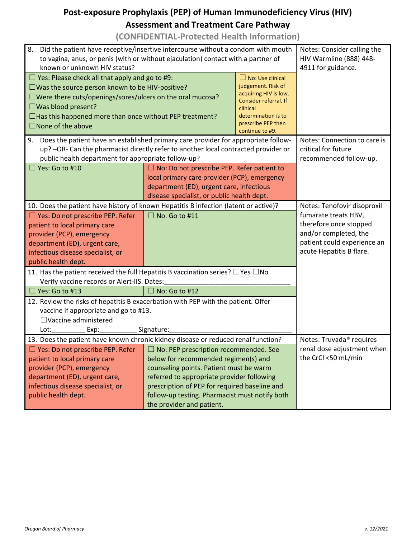## **Post-exposure Prophylaxis (PEP) of Human Immunodeficiency Virus (HIV) Assessment and Treatment Care Pathway**

### **(CONFIDENTIAL-Protected Health Information)**

| 8.<br>Did the patient have receptive/insertive intercourse without a condom with mouth<br>to vagina, anus, or penis (with or without ejaculation) contact with a partner of<br>known or unknown HIV status? | Notes: Consider calling the<br>HIV Warmline (888) 448-<br>4911 for guidance.                |                                             |                                      |  |
|-------------------------------------------------------------------------------------------------------------------------------------------------------------------------------------------------------------|---------------------------------------------------------------------------------------------|---------------------------------------------|--------------------------------------|--|
| $\Box$ Yes: Please check all that apply and go to #9:                                                                                                                                                       |                                                                                             | $\Box$ No: Use clinical                     |                                      |  |
| $\square$ Was the source person known to be HIV-positive?                                                                                                                                                   |                                                                                             | judgement. Risk of<br>acquiring HIV is low. |                                      |  |
| □Were there cuts/openings/sores/ulcers on the oral mucosa?                                                                                                                                                  |                                                                                             | Consider referral. If                       |                                      |  |
| $\square$ Was blood present?                                                                                                                                                                                |                                                                                             | clinical                                    |                                      |  |
| $\Box$ Has this happened more than once without PEP treatment?                                                                                                                                              |                                                                                             | determination is to<br>prescribe PEP then   |                                      |  |
| $\square$ None of the above                                                                                                                                                                                 |                                                                                             | continue to #9.                             |                                      |  |
| Does the patient have an established primary care provider for appropriate follow-<br>9.                                                                                                                    | Notes: Connection to care is                                                                |                                             |                                      |  |
| up? -OR- Can the pharmacist directly refer to another local contracted provider or                                                                                                                          | critical for future                                                                         |                                             |                                      |  |
| public health department for appropriate follow-up?                                                                                                                                                         |                                                                                             |                                             | recommended follow-up.               |  |
|                                                                                                                                                                                                             | Yes: Go to #10<br>$\Box$ No: Do not prescribe PEP. Refer patient to                         |                                             |                                      |  |
|                                                                                                                                                                                                             | local primary care provider (PCP), emergency                                                |                                             |                                      |  |
|                                                                                                                                                                                                             | department (ED), urgent care, infectious<br>disease specialist, or public health dept.      |                                             |                                      |  |
| 10. Does the patient have history of known Hepatitis B infection (latent or active)?                                                                                                                        |                                                                                             |                                             | Notes: Tenofovir disoproxil          |  |
| □ Yes: Do not prescribe PEP. Refer                                                                                                                                                                          | No. Go to #11                                                                               |                                             | fumarate treats HBV,                 |  |
| patient to local primary care                                                                                                                                                                               |                                                                                             |                                             | therefore once stopped               |  |
| provider (PCP), emergency                                                                                                                                                                                   |                                                                                             |                                             | and/or completed, the                |  |
| department (ED), urgent care,                                                                                                                                                                               |                                                                                             |                                             | patient could experience an          |  |
| infectious disease specialist, or                                                                                                                                                                           |                                                                                             |                                             | acute Hepatitis B flare.             |  |
| public health dept.                                                                                                                                                                                         |                                                                                             |                                             |                                      |  |
| 11. Has the patient received the full Hepatitis B vaccination series? $\Box$ Yes $\Box$ No                                                                                                                  |                                                                                             |                                             |                                      |  |
| Verify vaccine records or Alert-IIS. Dates:                                                                                                                                                                 |                                                                                             |                                             |                                      |  |
| Yes: Go to #13                                                                                                                                                                                              | No: Go to #12                                                                               |                                             |                                      |  |
| 12. Review the risks of hepatitis B exacerbation with PEP with the patient. Offer                                                                                                                           |                                                                                             |                                             |                                      |  |
| vaccine if appropriate and go to #13.                                                                                                                                                                       |                                                                                             |                                             |                                      |  |
| $\Box$ Vaccine administered                                                                                                                                                                                 |                                                                                             |                                             |                                      |  |
| Lot:<br>Exp:                                                                                                                                                                                                | Signature:                                                                                  |                                             |                                      |  |
| 13. Does the patient have known chronic kidney disease or reduced renal function?                                                                                                                           |                                                                                             |                                             | Notes: Truvada <sup>®</sup> requires |  |
| Ves: Do not prescribe PEP. Refer                                                                                                                                                                            | $\Box$ No: PEP prescription recommended. See                                                |                                             | renal dose adjustment when           |  |
| patient to local primary care                                                                                                                                                                               | below for recommended regimen(s) and                                                        |                                             | the CrCl <50 mL/min                  |  |
| provider (PCP), emergency                                                                                                                                                                                   | counseling points. Patient must be warm                                                     |                                             |                                      |  |
| department (ED), urgent care,<br>infectious disease specialist, or                                                                                                                                          | referred to appropriate provider following<br>prescription of PEP for required baseline and |                                             |                                      |  |
| public health dept.                                                                                                                                                                                         | follow-up testing. Pharmacist must notify both                                              |                                             |                                      |  |
|                                                                                                                                                                                                             | the provider and patient.                                                                   |                                             |                                      |  |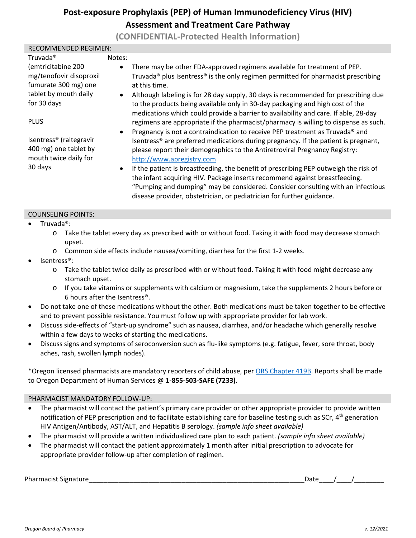### **Post-exposure Prophylaxis (PEP) of Human Immunodeficiency Virus (HIV) Assessment and Treatment Care Pathway**

**(CONFIDENTIAL-Protected Health Information)**

#### RECOMMENDED REGIMEN:

| Truvada <sup>®</sup>                | Notes:    |                                                                                                                                                                      |
|-------------------------------------|-----------|----------------------------------------------------------------------------------------------------------------------------------------------------------------------|
| (emtricitabine 200                  | $\bullet$ | There may be other FDA-approved regimens available for treatment of PEP.                                                                                             |
| mg/tenofovir disoproxil             |           | Truvada <sup>®</sup> plus Isentress <sup>®</sup> is the only regimen permitted for pharmacist prescribing                                                            |
| fumurate 300 mg) one                |           | at this time.                                                                                                                                                        |
| tablet by mouth daily               | $\bullet$ | Although labeling is for 28 day supply, 30 days is recommended for prescribing due                                                                                   |
| for 30 days                         |           | to the products being available only in 30-day packaging and high cost of the<br>medications which could provide a barrier to availability and care. If able, 28-day |
| <b>PLUS</b>                         |           | regimens are appropriate if the pharmacist/pharmacy is willing to dispense as such.                                                                                  |
|                                     | $\bullet$ | Pregnancy is not a contraindication to receive PEP treatment as Truvada® and                                                                                         |
| Isentress <sup>®</sup> (raltegravir |           | Isentress <sup>®</sup> are preferred medications during pregnancy. If the patient is pregnant,                                                                       |
| 400 mg) one tablet by               |           | please report their demographics to the Antiretroviral Pregnancy Registry:                                                                                           |
| mouth twice daily for               |           | http://www.apregistry.com                                                                                                                                            |
| 30 days                             | $\bullet$ | If the patient is breastfeeding, the benefit of prescribing PEP outweigh the risk of                                                                                 |
|                                     |           | the infant acquiring HIV. Package inserts recommend against breastfeeding.                                                                                           |
|                                     |           | "Pumping and dumping" may be considered. Consider consulting with an infectious                                                                                      |
|                                     |           | disease provider, obstetrician, or pediatrician for further guidance.                                                                                                |

#### COUNSELING POINTS:

- Truvada<sup>®</sup>:
	- o Take the tablet every day as prescribed with or without food. Taking it with food may decrease stomach upset.
	- o Common side effects include nausea/vomiting, diarrhea for the first 1-2 weeks.
- Isentress®:
	- o Take the tablet twice daily as prescribed with or without food. Taking it with food might decrease any stomach upset.
	- o If you take vitamins or supplements with calcium or magnesium, take the supplements 2 hours before or 6 hours after the Isentress®.
- Do not take one of these medications without the other. Both medications must be taken together to be effective and to prevent possible resistance. You must follow up with appropriate provider for lab work.
- Discuss side-effects of "start-up syndrome" such as nausea, diarrhea, and/or headache which generally resolve within a few days to weeks of starting the medications.
- Discuss signs and symptoms of seroconversion such as flu-like symptoms (e.g. fatigue, fever, sore throat, body aches, rash, swollen lymph nodes).

\*Oregon licensed pharmacists are mandatory reporters of child abuse, per [ORS Chapter 419B.](https://www.oregonlegislature.gov/bills_laws/ors/ors419B.html) Reports shall be made to Oregon Department of Human Services @ **1-855-503-SAFE (7233)**.

#### PHARMACIST MANDATORY FOLLOW-UP:

- The pharmacist will contact the patient's primary care provider or other appropriate provider to provide written notification of PEP prescription and to facilitate establishing care for baseline testing such as SCr, 4<sup>th</sup> generation HIV Antigen/Antibody, AST/ALT, and Hepatitis B serology. *(sample info sheet available)*
- The pharmacist will provide a written individualized care plan to each patient. *(sample info sheet available)*
- The pharmacist will contact the patient approximately 1 month after initial prescription to advocate for appropriate provider follow-up after completion of regimen.

Pharmacist Signature\_\_\_\_\_\_\_\_\_\_\_\_\_\_\_\_\_\_\_\_\_\_\_\_\_\_\_\_\_\_\_\_\_\_\_\_\_\_\_\_\_\_\_\_\_\_\_\_\_\_\_\_\_\_\_\_\_\_Date\_\_\_\_/\_\_\_\_/\_\_\_\_\_\_\_\_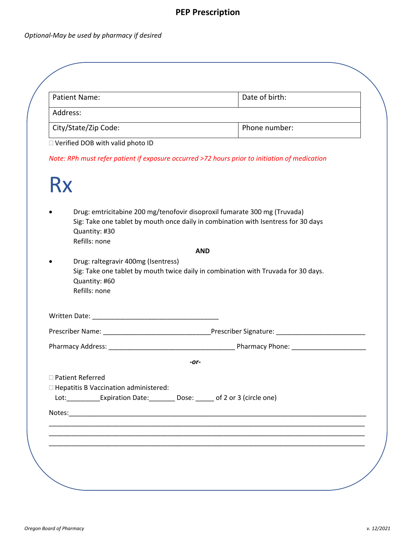## **PEP Prescription**

### *Optional-May be used by pharmacy if desired*

| <b>Patient Name:</b>                         | Date of birth:                                                                                                                                                  |
|----------------------------------------------|-----------------------------------------------------------------------------------------------------------------------------------------------------------------|
| Address:                                     |                                                                                                                                                                 |
| City/State/Zip Code:                         | Phone number:                                                                                                                                                   |
| □ Verified DOB with valid photo ID           |                                                                                                                                                                 |
|                                              | Note: RPh must refer patient if exposure occurred >72 hours prior to initiation of medication                                                                   |
| Rx                                           |                                                                                                                                                                 |
| Quantity: #30<br>Refills: none               | Drug: emtricitabine 200 mg/tenofovir disoproxil fumarate 300 mg (Truvada)<br>Sig: Take one tablet by mouth once daily in combination with Isentress for 30 days |
|                                              | <b>AND</b>                                                                                                                                                      |
| Drug: raltegravir 400mg (Isentress)          | Sig: Take one tablet by mouth twice daily in combination with Truvada for 30 days.                                                                              |
| Quantity: #60<br>Refills: none               |                                                                                                                                                                 |
|                                              |                                                                                                                                                                 |
|                                              |                                                                                                                                                                 |
|                                              |                                                                                                                                                                 |
|                                              | -or-                                                                                                                                                            |
| □ Patient Referred                           |                                                                                                                                                                 |
| $\Box$ Hepatitis B Vaccination administered: |                                                                                                                                                                 |
|                                              | Lot:_____________Expiration Date:__________ Dose: ______ of 2 or 3 (circle one)                                                                                 |
|                                              |                                                                                                                                                                 |
|                                              |                                                                                                                                                                 |
|                                              |                                                                                                                                                                 |
|                                              |                                                                                                                                                                 |
|                                              |                                                                                                                                                                 |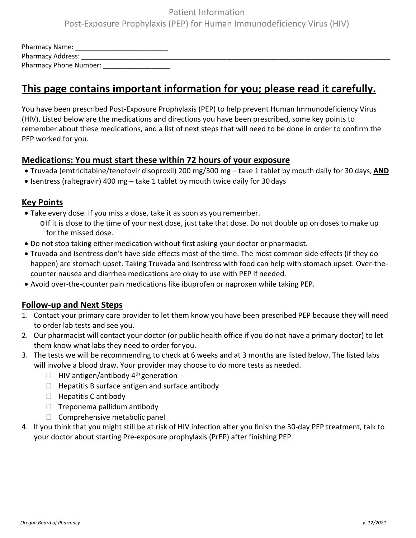### Patient Information Post-Exposure Prophylaxis (PEP) for Human Immunodeficiency Virus (HIV)

| Pharmacy Name:           |  |
|--------------------------|--|
| <b>Pharmacy Address:</b> |  |
| Pharmacy Phone Number:   |  |

### **This page contains important information for you; please read it carefully.**

You have been prescribed Post-Exposure Prophylaxis (PEP) to help prevent Human Immunodeficiency Virus (HIV). Listed below are the medications and directions you have been prescribed, some key points to remember about these medications, and a list of next steps that will need to be done in order to confirm the PEP worked for you.

#### **Medications: You must start these within 72 hours of your exposure**

- Truvada (emtricitabine/tenofovir disoproxil) 200 mg/300 mg take 1 tablet by mouth daily for 30 days, **AND**
- Isentress (raltegravir) 400 mg take 1 tablet by mouth twice daily for 30 days

### **Key Points**

- Take every dose. If you miss a dose, take it as soon as you remember.
	- $\circ$ If it is close to the time of your next dose, just take that dose. Do not double up on doses to make up for the missed dose.
- Do not stop taking either medication without first asking your doctor or pharmacist.
- Truvada and Isentress don't have side effects most of the time. The most common side effects (if they do happen) are stomach upset. Taking Truvada and Isentress with food can help with stomach upset. Over-thecounter nausea and diarrhea medications are okay to use with PEP if needed.
- Avoid over-the-counter pain medications like ibuprofen or naproxen while taking PEP.

### **Follow-up and Next Steps**

- 1. Contact your primary care provider to let them know you have been prescribed PEP because they will need to order lab tests and see you.
- 2. Our pharmacist will contact your doctor (or public health office if you do not have a primary doctor) to let them know what labs they need to order for you.
- 3. The tests we will be recommending to check at 6 weeks and at 3 months are listed below. The listed labs will involve a blood draw. Your provider may choose to do more tests as needed.
	- $\Box$  HIV antigen/antibody 4<sup>th</sup> generation
	- $\Box$  Hepatitis B surface antigen and surface antibody
	- $\Box$  Hepatitis C antibody
	- $\Box$  Treponema pallidum antibody
	- $\Box$  Comprehensive metabolic panel
- 4. If you think that you might still be at risk of HIV infection after you finish the 30-day PEP treatment, talk to your doctor about starting Pre-exposure prophylaxis (PrEP) after finishing PEP.